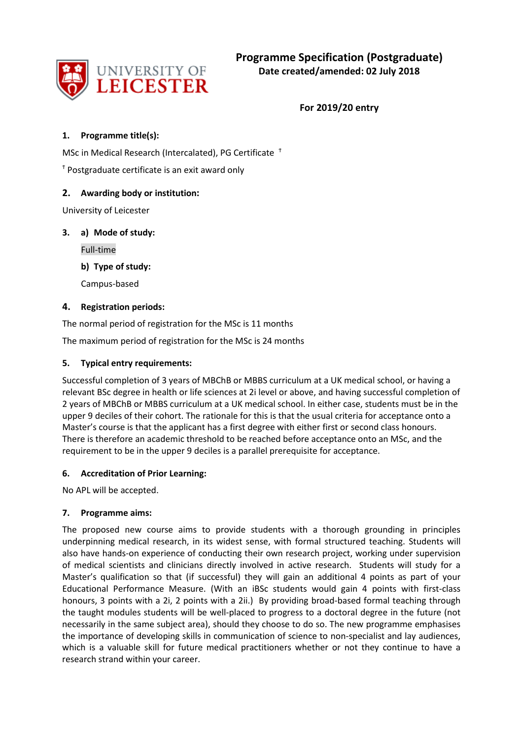

**For 2019/20 entry**

## **1. Programme title(s):**

MSc in Medical Research (Intercalated), PG Certificate <sup>↑</sup>

 $<sup>†</sup>$  Postgraduate certificate is an exit award only</sup>

## **2. Awarding body or institution:**

University of Leicester

## **3. a) Mode of study:**

Full-time

**b) Type of study:**

Campus-based

## **4. Registration periods:**

The normal period of registration for the MSc is 11 months

The maximum period of registration for the MSc is 24 months

## **5. Typical entry requirements:**

Successful completion of 3 years of MBChB or MBBS curriculum at a UK medical school, or having a relevant BSc degree in health or life sciences at 2i level or above, and having successful completion of 2 years of MBChB or MBBS curriculum at a UK medical school. In either case, students must be in the upper 9 deciles of their cohort. The rationale for this is that the usual criteria for acceptance onto a Master's course is that the applicant has a first degree with either first or second class honours. There is therefore an academic threshold to be reached before acceptance onto an MSc, and the requirement to be in the upper 9 deciles is a parallel prerequisite for acceptance.

## **6. Accreditation of Prior Learning:**

No APL will be accepted.

## **7. Programme aims:**

The proposed new course aims to provide students with a thorough grounding in principles underpinning medical research, in its widest sense, with formal structured teaching. Students will also have hands-on experience of conducting their own research project, working under supervision of medical scientists and clinicians directly involved in active research. Students will study for a Master's qualification so that (if successful) they will gain an additional 4 points as part of your Educational Performance Measure. (With an iBSc students would gain 4 points with first-class honours, 3 points with a 2i, 2 points with a 2ii.) By providing broad-based formal teaching through the taught modules students will be well-placed to progress to a doctoral degree in the future (not necessarily in the same subject area), should they choose to do so. The new programme emphasises the importance of developing skills in communication of science to non-specialist and lay audiences, which is a valuable skill for future medical practitioners whether or not they continue to have a research strand within your career.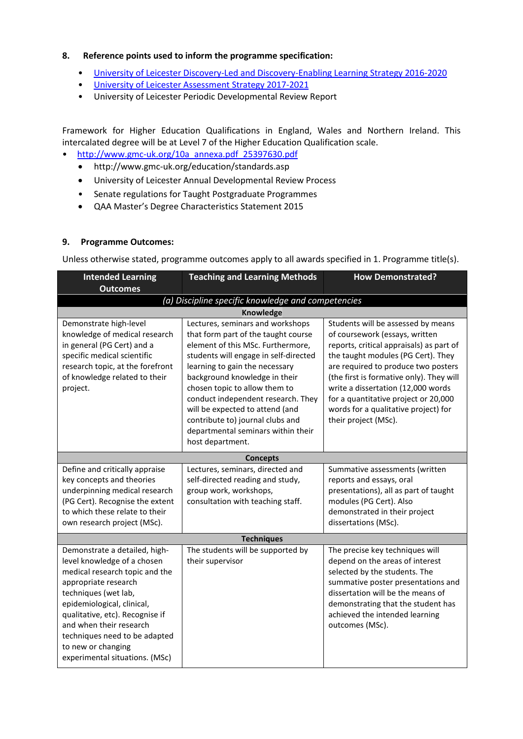#### **8. Reference points used to inform the programme specification:**

- [University of Leicester Discovery-Led and Discovery-Enabling Learning Strategy 2016-2020](http://www2.le.ac.uk/offices/sas2/quality/learnteach)
- University of Leicester Assessment Strategy 2017-2021
- University of Leicester Periodic Developmental Review Report

Framework for Higher Education Qualifications in England, Wales and Northern Ireland. This intercalated degree will be at Level 7 of the Higher Education Qualification scale.

- [http://www.gmc-uk.org/10a\\_annexa.pdf\\_25397630.pdf](http://www.gmc-uk.org/10a_annexa.pdf_25397630.pdf)
	- http://www.gmc-uk.org/education/standards.asp
	- University of Leicester Annual Developmental Review Process
	- Senate regulations for Taught Postgraduate Programmes
	- QAA Master's Degree Characteristics Statement 2015

#### **9. Programme Outcomes:**

Unless otherwise stated, programme outcomes apply to all awards specified in 1. Programme title(s).

| <b>Intended Learning</b><br><b>Outcomes</b>                                                                                                                                                                                                                                                                                         | <b>Teaching and Learning Methods</b>                                                                                                                                                                                                                                                                                                                                                                                             | <b>How Demonstrated?</b>                                                                                                                                                                                                                                                                                                                                                                |  |  |  |  |
|-------------------------------------------------------------------------------------------------------------------------------------------------------------------------------------------------------------------------------------------------------------------------------------------------------------------------------------|----------------------------------------------------------------------------------------------------------------------------------------------------------------------------------------------------------------------------------------------------------------------------------------------------------------------------------------------------------------------------------------------------------------------------------|-----------------------------------------------------------------------------------------------------------------------------------------------------------------------------------------------------------------------------------------------------------------------------------------------------------------------------------------------------------------------------------------|--|--|--|--|
| (a) Discipline specific knowledge and competencies                                                                                                                                                                                                                                                                                  |                                                                                                                                                                                                                                                                                                                                                                                                                                  |                                                                                                                                                                                                                                                                                                                                                                                         |  |  |  |  |
| <b>Knowledge</b>                                                                                                                                                                                                                                                                                                                    |                                                                                                                                                                                                                                                                                                                                                                                                                                  |                                                                                                                                                                                                                                                                                                                                                                                         |  |  |  |  |
| Demonstrate high-level<br>knowledge of medical research<br>in general (PG Cert) and a<br>specific medical scientific<br>research topic, at the forefront<br>of knowledge related to their<br>project.                                                                                                                               | Lectures, seminars and workshops<br>that form part of the taught course<br>element of this MSc. Furthermore,<br>students will engage in self-directed<br>learning to gain the necessary<br>background knowledge in their<br>chosen topic to allow them to<br>conduct independent research. They<br>will be expected to attend (and<br>contribute to) journal clubs and<br>departmental seminars within their<br>host department. | Students will be assessed by means<br>of coursework (essays, written<br>reports, critical appraisals) as part of<br>the taught modules (PG Cert). They<br>are required to produce two posters<br>(the first is formative only). They will<br>write a dissertation (12,000 words<br>for a quantitative project or 20,000<br>words for a qualitative project) for<br>their project (MSc). |  |  |  |  |
|                                                                                                                                                                                                                                                                                                                                     | <b>Concepts</b>                                                                                                                                                                                                                                                                                                                                                                                                                  |                                                                                                                                                                                                                                                                                                                                                                                         |  |  |  |  |
| Define and critically appraise<br>key concepts and theories<br>underpinning medical research<br>(PG Cert). Recognise the extent<br>to which these relate to their<br>own research project (MSc).                                                                                                                                    | Lectures, seminars, directed and<br>self-directed reading and study,<br>group work, workshops,<br>consultation with teaching staff.                                                                                                                                                                                                                                                                                              | Summative assessments (written<br>reports and essays, oral<br>presentations), all as part of taught<br>modules (PG Cert). Also<br>demonstrated in their project<br>dissertations (MSc).                                                                                                                                                                                                 |  |  |  |  |
|                                                                                                                                                                                                                                                                                                                                     | <b>Techniques</b>                                                                                                                                                                                                                                                                                                                                                                                                                |                                                                                                                                                                                                                                                                                                                                                                                         |  |  |  |  |
| Demonstrate a detailed, high-<br>level knowledge of a chosen<br>medical research topic and the<br>appropriate research<br>techniques (wet lab,<br>epidemiological, clinical,<br>qualitative, etc). Recognise if<br>and when their research<br>techniques need to be adapted<br>to new or changing<br>experimental situations. (MSc) | The students will be supported by<br>their supervisor                                                                                                                                                                                                                                                                                                                                                                            | The precise key techniques will<br>depend on the areas of interest<br>selected by the students. The<br>summative poster presentations and<br>dissertation will be the means of<br>demonstrating that the student has<br>achieved the intended learning<br>outcomes (MSc).                                                                                                               |  |  |  |  |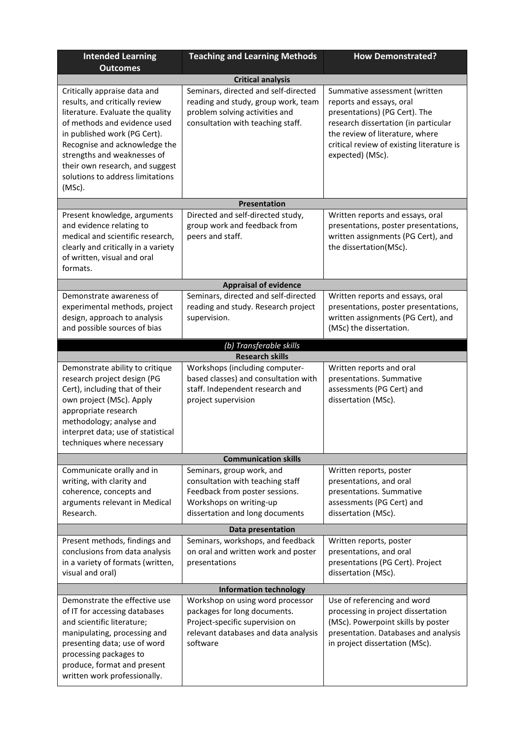| <b>Intended Learning</b><br><b>Outcomes</b>                                                                                                                                                                                                                                                                         | <b>Teaching and Learning Methods</b>                                                                                                                          | <b>How Demonstrated?</b>                                                                                                                                                                                                               |  |  |  |  |  |
|---------------------------------------------------------------------------------------------------------------------------------------------------------------------------------------------------------------------------------------------------------------------------------------------------------------------|---------------------------------------------------------------------------------------------------------------------------------------------------------------|----------------------------------------------------------------------------------------------------------------------------------------------------------------------------------------------------------------------------------------|--|--|--|--|--|
| <b>Critical analysis</b>                                                                                                                                                                                                                                                                                            |                                                                                                                                                               |                                                                                                                                                                                                                                        |  |  |  |  |  |
| Critically appraise data and<br>results, and critically review<br>literature. Evaluate the quality<br>of methods and evidence used<br>in published work (PG Cert).<br>Recognise and acknowledge the<br>strengths and weaknesses of<br>their own research, and suggest<br>solutions to address limitations<br>(MSc). | Seminars, directed and self-directed<br>reading and study, group work, team<br>problem solving activities and<br>consultation with teaching staff.            | Summative assessment (written<br>reports and essays, oral<br>presentations) (PG Cert). The<br>research dissertation (in particular<br>the review of literature, where<br>critical review of existing literature is<br>expected) (MSc). |  |  |  |  |  |
|                                                                                                                                                                                                                                                                                                                     | Presentation                                                                                                                                                  |                                                                                                                                                                                                                                        |  |  |  |  |  |
| Present knowledge, arguments<br>and evidence relating to<br>medical and scientific research,<br>clearly and critically in a variety<br>of written, visual and oral<br>formats.                                                                                                                                      | Directed and self-directed study,<br>group work and feedback from<br>peers and staff.                                                                         | Written reports and essays, oral<br>presentations, poster presentations,<br>written assignments (PG Cert), and<br>the dissertation(MSc).                                                                                               |  |  |  |  |  |
|                                                                                                                                                                                                                                                                                                                     | <b>Appraisal of evidence</b>                                                                                                                                  |                                                                                                                                                                                                                                        |  |  |  |  |  |
| Demonstrate awareness of<br>experimental methods, project<br>design, approach to analysis<br>and possible sources of bias                                                                                                                                                                                           | Seminars, directed and self-directed<br>reading and study. Research project<br>supervision.                                                                   | Written reports and essays, oral<br>presentations, poster presentations,<br>written assignments (PG Cert), and<br>(MSc) the dissertation.                                                                                              |  |  |  |  |  |
|                                                                                                                                                                                                                                                                                                                     | (b) Transferable skills                                                                                                                                       |                                                                                                                                                                                                                                        |  |  |  |  |  |
|                                                                                                                                                                                                                                                                                                                     | <b>Research skills</b>                                                                                                                                        |                                                                                                                                                                                                                                        |  |  |  |  |  |
| Demonstrate ability to critique<br>research project design (PG<br>Cert), including that of their<br>own project (MSc). Apply<br>appropriate research<br>methodology; analyse and<br>interpret data; use of statistical<br>techniques where necessary                                                                | Workshops (including computer-<br>based classes) and consultation with<br>staff. Independent research and<br>project supervision                              | Written reports and oral<br>presentations. Summative<br>assessments (PG Cert) and<br>dissertation (MSc).                                                                                                                               |  |  |  |  |  |
| <b>Communication skills</b>                                                                                                                                                                                                                                                                                         |                                                                                                                                                               |                                                                                                                                                                                                                                        |  |  |  |  |  |
| Communicate orally and in<br>writing, with clarity and<br>coherence, concepts and<br>arguments relevant in Medical<br>Research.                                                                                                                                                                                     | Seminars, group work, and<br>consultation with teaching staff<br>Feedback from poster sessions.<br>Workshops on writing-up<br>dissertation and long documents | Written reports, poster<br>presentations, and oral<br>presentations. Summative<br>assessments (PG Cert) and<br>dissertation (MSc).                                                                                                     |  |  |  |  |  |
|                                                                                                                                                                                                                                                                                                                     | Data presentation                                                                                                                                             |                                                                                                                                                                                                                                        |  |  |  |  |  |
| Present methods, findings and<br>conclusions from data analysis<br>in a variety of formats (written,<br>visual and oral)                                                                                                                                                                                            | Seminars, workshops, and feedback<br>on oral and written work and poster<br>presentations                                                                     | Written reports, poster<br>presentations, and oral<br>presentations (PG Cert). Project<br>dissertation (MSc).                                                                                                                          |  |  |  |  |  |
| <b>Information technology</b>                                                                                                                                                                                                                                                                                       |                                                                                                                                                               |                                                                                                                                                                                                                                        |  |  |  |  |  |
| Demonstrate the effective use<br>of IT for accessing databases<br>and scientific literature;<br>manipulating, processing and<br>presenting data; use of word<br>processing packages to<br>produce, format and present<br>written work professionally.                                                               | Workshop on using word processor<br>packages for long documents.<br>Project-specific supervision on<br>relevant databases and data analysis<br>software       | Use of referencing and word<br>processing in project dissertation<br>(MSc). Powerpoint skills by poster<br>presentation. Databases and analysis<br>in project dissertation (MSc).                                                      |  |  |  |  |  |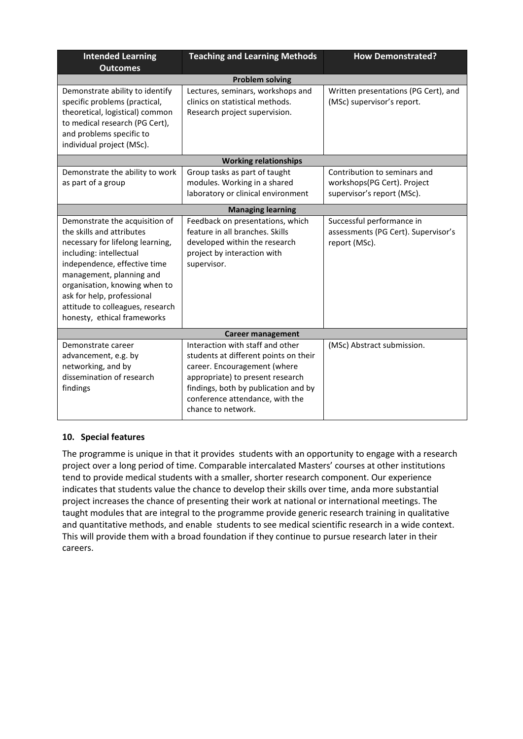| <b>Intended Learning</b><br><b>Outcomes</b>                                                                                                                                                                                                                                                                              | <b>Teaching and Learning Methods</b>                                                                                                                                                                                                           | <b>How Demonstrated?</b>                                                                  |  |  |  |  |
|--------------------------------------------------------------------------------------------------------------------------------------------------------------------------------------------------------------------------------------------------------------------------------------------------------------------------|------------------------------------------------------------------------------------------------------------------------------------------------------------------------------------------------------------------------------------------------|-------------------------------------------------------------------------------------------|--|--|--|--|
| <b>Problem solving</b>                                                                                                                                                                                                                                                                                                   |                                                                                                                                                                                                                                                |                                                                                           |  |  |  |  |
| Demonstrate ability to identify<br>specific problems (practical,<br>theoretical, logistical) common<br>to medical research (PG Cert),<br>and problems specific to<br>individual project (MSc).                                                                                                                           | Lectures, seminars, workshops and<br>clinics on statistical methods.<br>Research project supervision.                                                                                                                                          | Written presentations (PG Cert), and<br>(MSc) supervisor's report.                        |  |  |  |  |
|                                                                                                                                                                                                                                                                                                                          | <b>Working relationships</b>                                                                                                                                                                                                                   |                                                                                           |  |  |  |  |
| Demonstrate the ability to work<br>as part of a group                                                                                                                                                                                                                                                                    | Group tasks as part of taught<br>modules. Working in a shared<br>laboratory or clinical environment                                                                                                                                            | Contribution to seminars and<br>workshops(PG Cert). Project<br>supervisor's report (MSc). |  |  |  |  |
|                                                                                                                                                                                                                                                                                                                          | <b>Managing learning</b>                                                                                                                                                                                                                       |                                                                                           |  |  |  |  |
| Demonstrate the acquisition of<br>the skills and attributes<br>necessary for lifelong learning,<br>including: intellectual<br>independence, effective time<br>management, planning and<br>organisation, knowing when to<br>ask for help, professional<br>attitude to colleagues, research<br>honesty, ethical frameworks | Feedback on presentations, which<br>feature in all branches. Skills<br>developed within the research<br>project by interaction with<br>supervisor.                                                                                             | Successful performance in<br>assessments (PG Cert). Supervisor's<br>report (MSc).         |  |  |  |  |
| <b>Career management</b>                                                                                                                                                                                                                                                                                                 |                                                                                                                                                                                                                                                |                                                                                           |  |  |  |  |
| Demonstrate career<br>advancement, e.g. by<br>networking, and by<br>dissemination of research<br>findings                                                                                                                                                                                                                | Interaction with staff and other<br>students at different points on their<br>career. Encouragement (where<br>appropriate) to present research<br>findings, both by publication and by<br>conference attendance, with the<br>chance to network. | (MSc) Abstract submission.                                                                |  |  |  |  |

## **10. Special features**

The programme is unique in that it provides students with an opportunity to engage with a research project over a long period of time. Comparable intercalated Masters' courses at other institutions tend to provide medical students with a smaller, shorter research component. Our experience indicates that students value the chance to develop their skills over time, anda more substantial project increases the chance of presenting their work at national or international meetings. The taught modules that are integral to the programme provide generic research training in qualitative and quantitative methods, and enable students to see medical scientific research in a wide context. This will provide them with a broad foundation if they continue to pursue research later in their careers.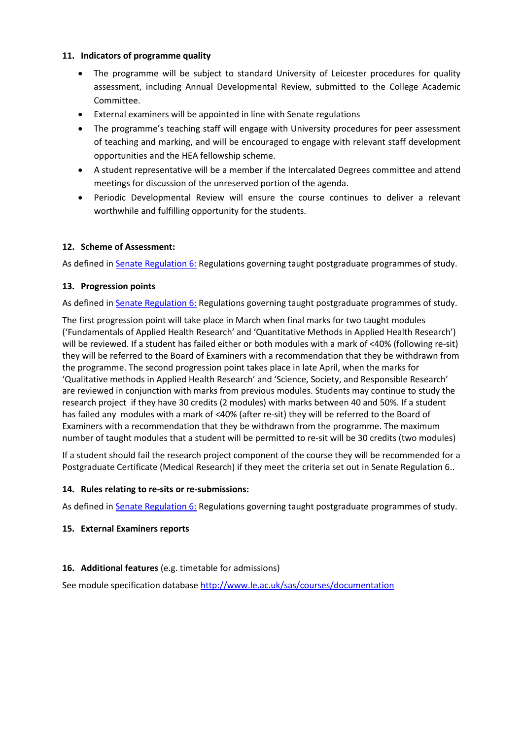#### **11. Indicators of programme quality**

- The programme will be subject to standard University of Leicester procedures for quality assessment, including Annual Developmental Review, submitted to the College Academic Committee.
- External examiners will be appointed in line with Senate regulations
- The programme's teaching staff will engage with University procedures for peer assessment of teaching and marking, and will be encouraged to engage with relevant staff development opportunities and the HEA fellowship scheme.
- A student representative will be a member if the Intercalated Degrees committee and attend meetings for discussion of the unreserved portion of the agenda.
- Periodic Developmental Review will ensure the course continues to deliver a relevant worthwhile and fulfilling opportunity for the students.

## **12. Scheme of Assessment:**

As defined i[n Senate Regulation 6:](http://www.le.ac.uk/senate-regulation6) Regulations governing taught postgraduate programmes of study.

## **13. Progression points**

As defined i[n Senate Regulation 6:](http://www.le.ac.uk/senate-regulation6) Regulations governing taught postgraduate programmes of study.

The first progression point will take place in March when final marks for two taught modules ('Fundamentals of Applied Health Research' and 'Quantitative Methods in Applied Health Research') will be reviewed. If a student has failed either or both modules with a mark of <40% (following re-sit) they will be referred to the Board of Examiners with a recommendation that they be withdrawn from the programme. The second progression point takes place in late April, when the marks for 'Qualitative methods in Applied Health Research' and 'Science, Society, and Responsible Research' are reviewed in conjunction with marks from previous modules. Students may continue to study the research project if they have 30 credits (2 modules) with marks between 40 and 50%. If a student has failed any modules with a mark of <40% (after re-sit) they will be referred to the Board of Examiners with a recommendation that they be withdrawn from the programme. The maximum number of taught modules that a student will be permitted to re-sit will be 30 credits (two modules)

If a student should fail the research project component of the course they will be recommended for a Postgraduate Certificate (Medical Research) if they meet the criteria set out in Senate Regulation 6..

## **14. Rules relating to re-sits or re-submissions:**

As defined i[n Senate Regulation 6:](http://www.le.ac.uk/senate-regulation6) Regulations governing taught postgraduate programmes of study.

## **15. External Examiners reports**

## **16. Additional features** (e.g. timetable for admissions)

See module specification database <http://www.le.ac.uk/sas/courses/documentation>